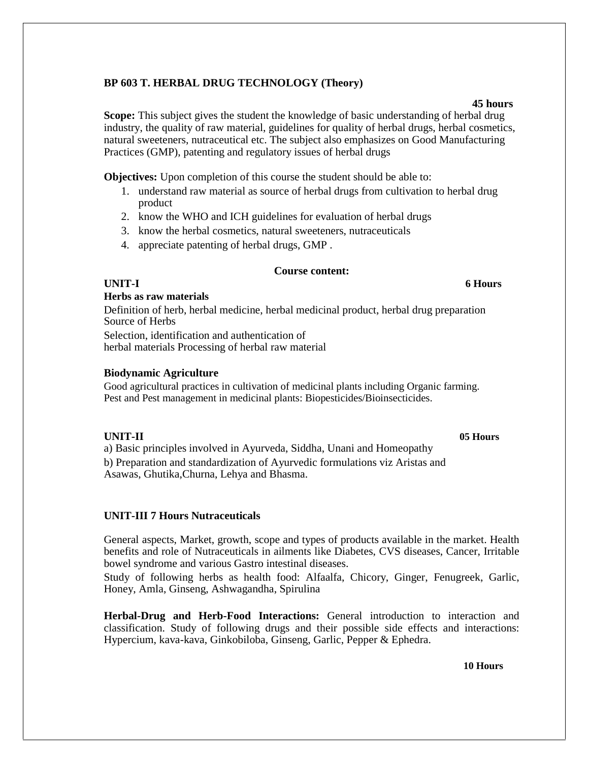## **BP 603 T. HERBAL DRUG TECHNOLOGY (Theory)**

#### **45 hours**

**Scope:** This subject gives the student the knowledge of basic understanding of herbal drug industry, the quality of raw material, guidelines for quality of herbal drugs, herbal cosmetics, natural sweeteners, nutraceutical etc. The subject also emphasizes on Good Manufacturing Practices (GMP), patenting and regulatory issues of herbal drugs

**Objectives:** Upon completion of this course the student should be able to:

- 1. understand raw material as source of herbal drugs from cultivation to herbal drug product
- 2. know the WHO and ICH guidelines for evaluation of herbal drugs
- 3. know the herbal cosmetics, natural sweeteners, nutraceuticals
- 4. appreciate patenting of herbal drugs, GMP .

#### **Course content:**

#### **6 Hours**

#### **Herbs as raw materials**

Definition of herb, herbal medicine, herbal medicinal product, herbal drug preparation Source of Herbs Selection, identification and authentication of

herbal materials Processing of herbal raw material

#### **Biodynamic Agriculture**

Good agricultural practices in cultivation of medicinal plants including Organic farming. Pest and Pest management in medicinal plants: Biopesticides/Bioinsecticides.

**UNIT-I**

**UNIT-II 05 Hours**

a) Basic principles involved in Ayurveda, Siddha, Unani and Homeopathy b) Preparation and standardization of Ayurvedic formulations viz Aristas and Asawas, Ghutika,Churna, Lehya and Bhasma.

#### **UNIT-III 7 Hours Nutraceuticals**

General aspects, Market, growth, scope and types of products available in the market. Health benefits and role of Nutraceuticals in ailments like Diabetes, CVS diseases, Cancer, Irritable bowel syndrome and various Gastro intestinal diseases.

Study of following herbs as health food: Alfaalfa, Chicory, Ginger, Fenugreek, Garlic, Honey, Amla, Ginseng, Ashwagandha, Spirulina

**Herbal-Drug and Herb-Food Interactions:** General introduction to interaction and classification. Study of following drugs and their possible side effects and interactions: Hypercium, kava-kava, Ginkobiloba, Ginseng, Garlic, Pepper & Ephedra.

**10 Hours**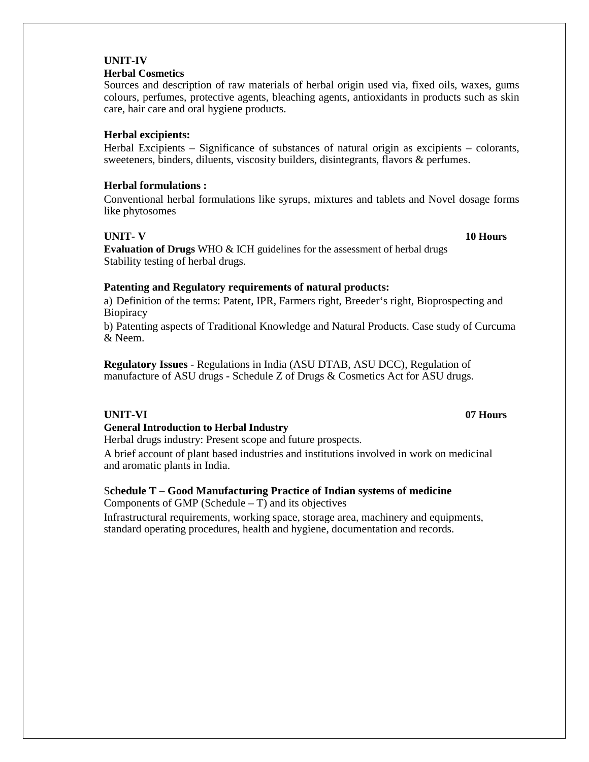# **UNIT-IV**

## **Herbal Cosmetics**

Sources and description of raw materials of herbal origin used via, fixed oils, waxes, gums colours, perfumes, protective agents, bleaching agents, antioxidants in products such as skin care, hair care and oral hygiene products.

## **Herbal excipients:**

Herbal Excipients – Significance of substances of natural origin as excipients – colorants, sweeteners, binders, diluents, viscosity builders, disintegrants, flavors & perfumes.

## **Herbal formulations :**

Conventional herbal formulations like syrups, mixtures and tablets and Novel dosage forms like phytosomes

## **UNIT- V**

**10 Hours**

**Evaluation of Drugs** WHO & ICH guidelines for the assessment of herbal drugs Stability testing of herbal drugs.

## **Patenting and Regulatory requirements of natural products:**

a) Definition of the terms: Patent, IPR, Farmers right, Breeder's right, Bioprospecting and **Biopiracy** 

b) Patenting aspects of Traditional Knowledge and Natural Products. Case study of Curcuma & Neem.

**Regulatory Issues** - Regulations in India (ASU DTAB, ASU DCC), Regulation of manufacture of ASU drugs - Schedule Z of Drugs & Cosmetics Act for ASU drugs.

## **UNIT-VI**

## **General Introduction to Herbal Industry**

Herbal drugs industry: Present scope and future prospects.

A brief account of plant based industries and institutions involved in work on medicinal and aromatic plants in India.

## S**chedule T – Good Manufacturing Practice of Indian systems of medicine**

Components of GMP (Schedule – T) and its objectives

Infrastructural requirements, working space, storage area, machinery and equipments, standard operating procedures, health and hygiene, documentation and records.

#### **07 Hours**